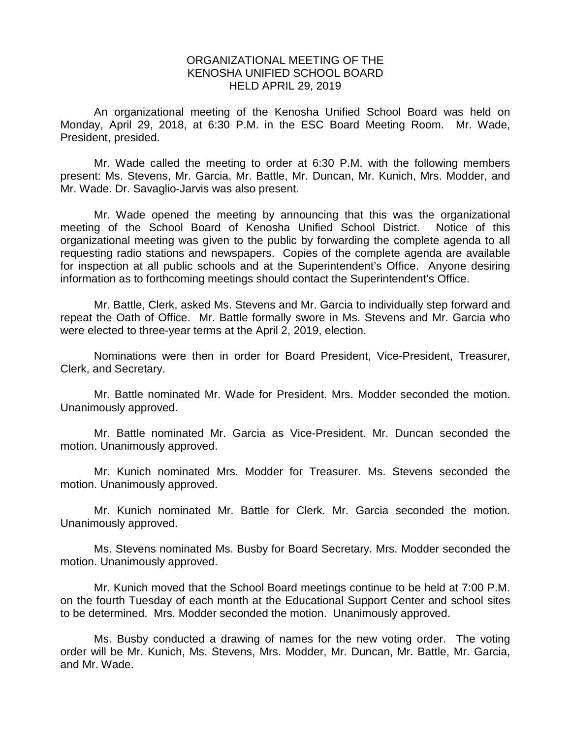## ORGANIZATIONAL MEETING OF THE KENOSHA UNIFIED SCHOOL BOARD HELD APRIL 29, 2019

An organizational meeting of the Kenosha Unified School Board was held on Monday, April 29, 2018, at 6:30 P.M. in the ESC Board Meeting Room. Mr. Wade, President, presided.

Mr. Wade called the meeting to order at 6:30 P.M. with the following members present: Ms. Stevens, Mr. Garcia, Mr. Battle, Mr. Duncan, Mr. Kunich, Mrs. Modder, and Mr. Wade. Dr. Savaglio-Jarvis was also present.

Mr. Wade opened the meeting by announcing that this was the organizational meeting of the School Board of Kenosha Unified School District. Notice of this organizational meeting was given to the public by forwarding the complete agenda to all requesting radio stations and newspapers. Copies of the complete agenda are available for inspection at all public schools and at the Superintendent's Office. Anyone desiring information as to forthcoming meetings should contact the Superintendent's Office.

Mr. Battle, Clerk, asked Ms. Stevens and Mr. Garcia to individually step forward and repeat the Oath of Office. Mr. Battle formally swore in Ms. Stevens and Mr. Garcia who were elected to three-year terms at the April 2, 2019, election.

Nominations were then in order for Board President, Vice-President, Treasurer, Clerk, and Secretary.

Mr. Battle nominated Mr. Wade for President. Mrs. Modder seconded the motion. Unanimously approved.

Mr. Battle nominated Mr. Garcia as Vice-President. Mr. Duncan seconded the motion. Unanimously approved.

Mr. Kunich nominated Mrs. Modder for Treasurer. Ms. Stevens seconded the motion. Unanimously approved.

Mr. Kunich nominated Mr. Battle for Clerk. Mr. Garcia seconded the motion. Unanimously approved.

Ms. Stevens nominated Ms. Busby for Board Secretary. Mrs. Modder seconded the motion. Unanimously approved.

Mr. Kunich moved that the School Board meetings continue to be held at 7:00 P.M. on the fourth Tuesday of each month at the Educational Support Center and school sites to be determined. Mrs. Modder seconded the motion. Unanimously approved.

Ms. Busby conducted a drawing of names for the new voting order. The voting order will be Mr. Kunich, Ms. Stevens, Mrs. Modder, Mr. Duncan, Mr. Battle, Mr. Garcia, and Mr. Wade.